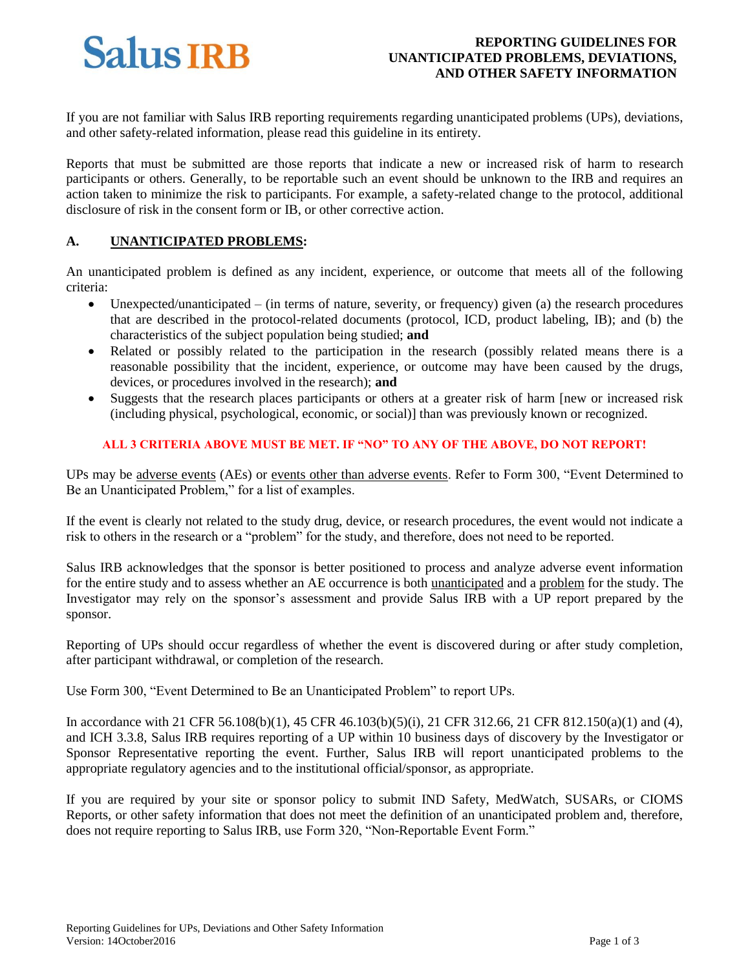# **Salus IRB**

# **REPORTING GUIDELINES FOR UNANTICIPATED PROBLEMS, DEVIATIONS, AND OTHER SAFETY INFORMATION**

If you are not familiar with Salus IRB reporting requirements regarding unanticipated problems (UPs), deviations, and other safety-related information, please read this guideline in its entirety.

Reports that must be submitted are those reports that indicate a new or increased risk of harm to research participants or others. Generally, to be reportable such an event should be unknown to the IRB and requires an action taken to minimize the risk to participants. For example, a safety-related change to the protocol, additional disclosure of risk in the consent form or IB, or other corrective action.

#### **A. UNANTICIPATED PROBLEMS:**

An unanticipated problem is defined as any incident, experience, or outcome that meets all of the following criteria:

- $\bullet$  Unexpected/unanticipated (in terms of nature, severity, or frequency) given (a) the research procedures that are described in the protocol-related documents (protocol, ICD, product labeling, IB); and (b) the characteristics of the subject population being studied; **and**
- Related or possibly related to the participation in the research (possibly related means there is a reasonable possibility that the incident, experience, or outcome may have been caused by the drugs, devices, or procedures involved in the research); **and**
- Suggests that the research places participants or others at a greater risk of harm [new or increased risk (including physical, psychological, economic, or social)] than was previously known or recognized.

## **ALL 3 CRITERIA ABOVE MUST BE MET. IF "NO" TO ANY OF THE ABOVE, DO NOT REPORT!**

UPs may be adverse events (AEs) or events other than adverse events. Refer to Form 300, "Event Determined to Be an Unanticipated Problem," for a list of examples.

If the event is clearly not related to the study drug, device, or research procedures, the event would not indicate a risk to others in the research or a "problem" for the study, and therefore, does not need to be reported.

Salus IRB acknowledges that the sponsor is better positioned to process and analyze adverse event information for the entire study and to assess whether an AE occurrence is both unanticipated and a problem for the study. The Investigator may rely on the sponsor's assessment and provide Salus IRB with a UP report prepared by the sponsor.

Reporting of UPs should occur regardless of whether the event is discovered during or after study completion, after participant withdrawal, or completion of the research.

Use Form 300, "Event Determined to Be an Unanticipated Problem" to report UPs.

In accordance with 21 CFR 56.108(b)(1), 45 CFR 46.103(b)(5)(i), 21 CFR 312.66, 21 CFR 812.150(a)(1) and (4), and ICH 3.3.8, Salus IRB requires reporting of a UP within 10 business days of discovery by the Investigator or Sponsor Representative reporting the event. Further, Salus IRB will report unanticipated problems to the appropriate regulatory agencies and to the institutional official/sponsor, as appropriate.

If you are required by your site or sponsor policy to submit IND Safety, MedWatch, SUSARs, or CIOMS Reports, or other safety information that does not meet the definition of an unanticipated problem and, therefore, does not require reporting to Salus IRB, use Form 320, "Non-Reportable Event Form."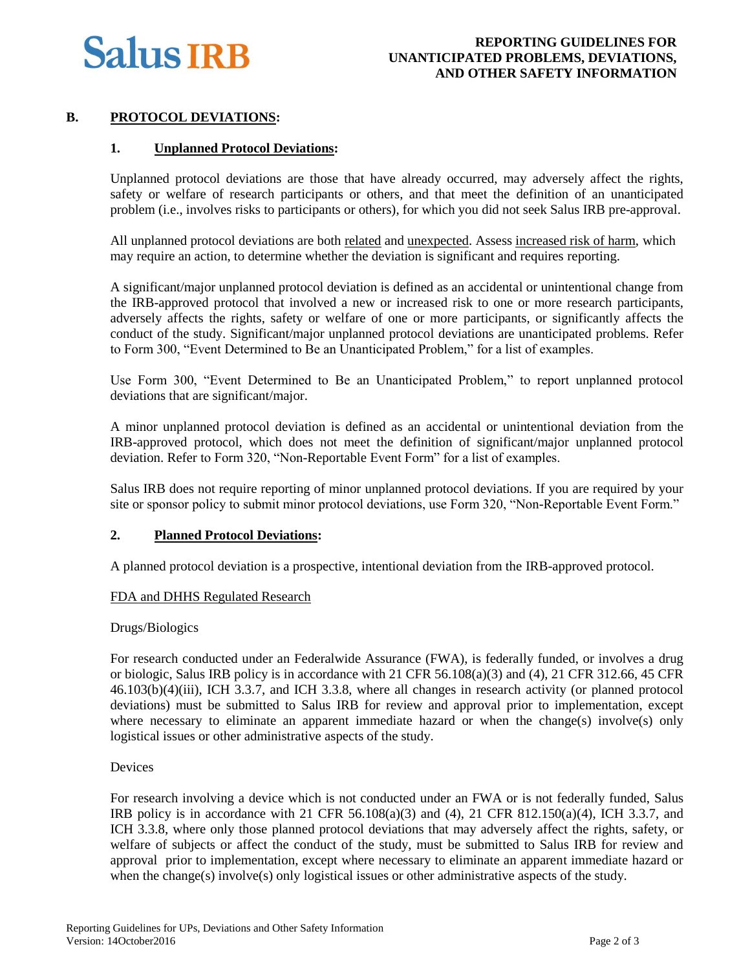

## **B. PROTOCOL DEVIATIONS:**

## **1. Unplanned Protocol Deviations:**

Unplanned protocol deviations are those that have already occurred, may adversely affect the rights, safety or welfare of research participants or others, and that meet the definition of an unanticipated problem (i.e., involves risks to participants or others), for which you did not seek Salus IRB pre-approval.

All unplanned protocol deviations are both related and unexpected. Assess increased risk of harm, which may require an action, to determine whether the deviation is significant and requires reporting.

A significant/major unplanned protocol deviation is defined as an accidental or unintentional change from the IRB-approved protocol that involved a new or increased risk to one or more research participants, adversely affects the rights, safety or welfare of one or more participants, or significantly affects the conduct of the study. Significant/major unplanned protocol deviations are unanticipated problems. Refer to Form 300, "Event Determined to Be an Unanticipated Problem," for a list of examples.

Use Form 300, "Event Determined to Be an Unanticipated Problem," to report unplanned protocol deviations that are significant/major.

A minor unplanned protocol deviation is defined as an accidental or unintentional deviation from the IRB-approved protocol, which does not meet the definition of significant/major unplanned protocol deviation. Refer to Form 320, "Non-Reportable Event Form" for a list of examples.

Salus IRB does not require reporting of minor unplanned protocol deviations. If you are required by your site or sponsor policy to submit minor protocol deviations, use Form 320, "Non-Reportable Event Form."

## **2. Planned Protocol Deviations:**

A planned protocol deviation is a prospective, intentional deviation from the IRB-approved protocol.

## FDA and DHHS Regulated Research

#### Drugs/Biologics

For research conducted under an Federalwide Assurance (FWA), is federally funded, or involves a drug or biologic, Salus IRB policy is in accordance with 21 CFR 56.108(a)(3) and (4), 21 CFR 312.66, 45 CFR 46.103(b)(4)(iii), ICH 3.3.7, and ICH 3.3.8, where all changes in research activity (or planned protocol deviations) must be submitted to Salus IRB for review and approval prior to implementation, except where necessary to eliminate an apparent immediate hazard or when the change(s) involve(s) only logistical issues or other administrative aspects of the study.

#### Devices

For research involving a device which is not conducted under an FWA or is not federally funded, Salus IRB policy is in accordance with 21 CFR  $56.108(a)(3)$  and (4), 21 CFR  $812.150(a)(4)$ , ICH 3.3.7, and ICH 3.3.8, where only those planned protocol deviations that may adversely affect the rights, safety, or welfare of subjects or affect the conduct of the study, must be submitted to Salus IRB for review and approval prior to implementation, except where necessary to eliminate an apparent immediate hazard or when the change(s) involve(s) only logistical issues or other administrative aspects of the study.